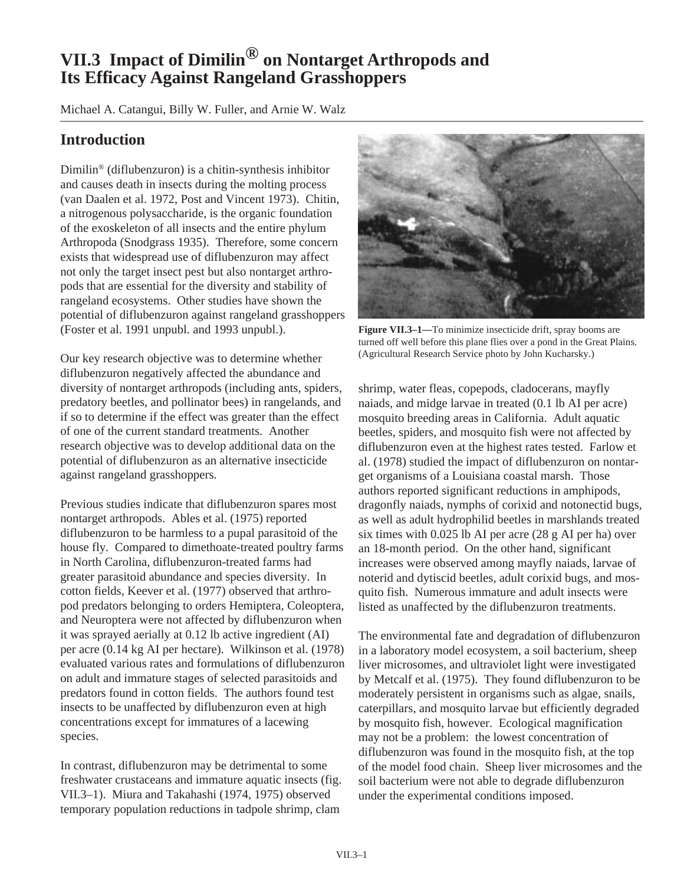# **VII.3 Impact of Dimilin® on Nontarget Arthropods and Its Efficacy Against Rangeland Grasshoppers**

Michael A. Catangui, Billy W. Fuller, and Arnie W. Walz

## **Introduction**

Dimilin® (diflubenzuron) is a chitin-synthesis inhibitor and causes death in insects during the molting process (van Daalen et al. 1972, Post and Vincent 1973). Chitin, a nitrogenous polysaccharide, is the organic foundation of the exoskeleton of all insects and the entire phylum Arthropoda (Snodgrass 1935). Therefore, some concern exists that widespread use of diflubenzuron may affect not only the target insect pest but also nontarget arthropods that are essential for the diversity and stability of rangeland ecosystems. Other studies have shown the potential of diflubenzuron against rangeland grasshoppers (Foster et al. 1991 unpubl. and 1993 unpubl.).

Our key research objective was to determine whether diflubenzuron negatively affected the abundance and diversity of nontarget arthropods (including ants, spiders, predatory beetles, and pollinator bees) in rangelands, and if so to determine if the effect was greater than the effect of one of the current standard treatments. Another research objective was to develop additional data on the potential of diflubenzuron as an alternative insecticide against rangeland grasshoppers.

Previous studies indicate that diflubenzuron spares most nontarget arthropods. Ables et al. (1975) reported diflubenzuron to be harmless to a pupal parasitoid of the house fly. Compared to dimethoate-treated poultry farms in North Carolina, diflubenzuron-treated farms had greater parasitoid abundance and species diversity. In cotton fields, Keever et al. (1977) observed that arthropod predators belonging to orders Hemiptera, Coleoptera, and Neuroptera were not affected by diflubenzuron when it was sprayed aerially at 0.12 lb active ingredient (AI) per acre (0.14 kg AI per hectare). Wilkinson et al. (1978) evaluated various rates and formulations of diflubenzuron on adult and immature stages of selected parasitoids and predators found in cotton fields. The authors found test insects to be unaffected by diflubenzuron even at high concentrations except for immatures of a lacewing species.

In contrast, diflubenzuron may be detrimental to some freshwater crustaceans and immature aquatic insects (fig. VII.3–1). Miura and Takahashi (1974, 1975) observed temporary population reductions in tadpole shrimp, clam



**Figure VII.3–1—**To minimize insecticide drift, spray booms are turned off well before this plane flies over a pond in the Great Plains. (Agricultural Research Service photo by John Kucharsky.)

shrimp, water fleas, copepods, cladocerans, mayfly naiads, and midge larvae in treated (0.1 lb AI per acre) mosquito breeding areas in California. Adult aquatic beetles, spiders, and mosquito fish were not affected by diflubenzuron even at the highest rates tested. Farlow et al. (1978) studied the impact of diflubenzuron on nontarget organisms of a Louisiana coastal marsh. Those authors reported significant reductions in amphipods, dragonfly naiads, nymphs of corixid and notonectid bugs, as well as adult hydrophilid beetles in marshlands treated six times with 0.025 lb AI per acre (28 g AI per ha) over an 18-month period. On the other hand, significant increases were observed among mayfly naiads, larvae of noterid and dytiscid beetles, adult corixid bugs, and mosquito fish. Numerous immature and adult insects were listed as unaffected by the diflubenzuron treatments.

The environmental fate and degradation of diflubenzuron in a laboratory model ecosystem, a soil bacterium, sheep liver microsomes, and ultraviolet light were investigated by Metcalf et al. (1975). They found diflubenzuron to be moderately persistent in organisms such as algae, snails, caterpillars, and mosquito larvae but efficiently degraded by mosquito fish, however. Ecological magnification may not be a problem: the lowest concentration of diflubenzuron was found in the mosquito fish, at the top of the model food chain. Sheep liver microsomes and the soil bacterium were not able to degrade diflubenzuron under the experimental conditions imposed.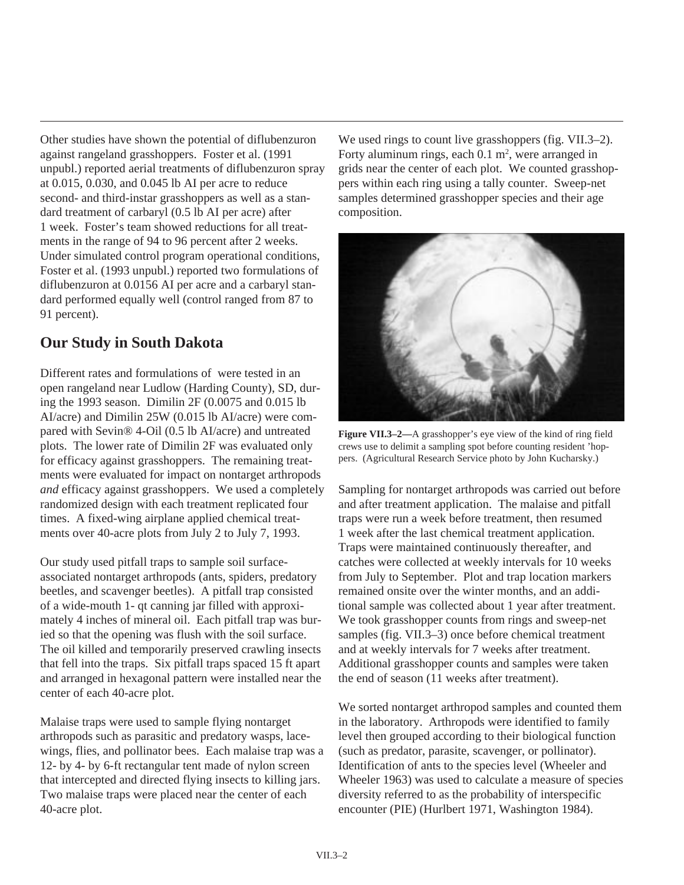Other studies have shown the potential of diflubenzuron against rangeland grasshoppers. Foster et al. (1991 unpubl.) reported aerial treatments of diflubenzuron spray at 0.015, 0.030, and 0.045 lb AI per acre to reduce second- and third-instar grasshoppers as well as a standard treatment of carbaryl (0.5 lb AI per acre) after 1 week. Foster's team showed reductions for all treatments in the range of 94 to 96 percent after 2 weeks. Under simulated control program operational conditions, Foster et al. (1993 unpubl.) reported two formulations of diflubenzuron at 0.0156 AI per acre and a carbaryl standard performed equally well (control ranged from 87 to 91 percent).

## **Our Study in South Dakota**

Different rates and formulations of were tested in an open rangeland near Ludlow (Harding County), SD, during the 1993 season. Dimilin 2F (0.0075 and 0.015 lb AI/acre) and Dimilin 25W (0.015 lb AI/acre) were compared with Sevin® 4-Oil (0.5 lb AI/acre) and untreated plots. The lower rate of Dimilin 2F was evaluated only for efficacy against grasshoppers. The remaining treatments were evaluated for impact on nontarget arthropods *and* efficacy against grasshoppers. We used a completely randomized design with each treatment replicated four times. A fixed-wing airplane applied chemical treatments over 40-acre plots from July 2 to July 7, 1993.

Our study used pitfall traps to sample soil surfaceassociated nontarget arthropods (ants, spiders, predatory beetles, and scavenger beetles). A pitfall trap consisted of a wide-mouth 1- qt canning jar filled with approximately 4 inches of mineral oil. Each pitfall trap was buried so that the opening was flush with the soil surface. The oil killed and temporarily preserved crawling insects that fell into the traps. Six pitfall traps spaced 15 ft apart and arranged in hexagonal pattern were installed near the center of each 40-acre plot.

Malaise traps were used to sample flying nontarget arthropods such as parasitic and predatory wasps, lacewings, flies, and pollinator bees. Each malaise trap was a 12- by 4- by 6-ft rectangular tent made of nylon screen that intercepted and directed flying insects to killing jars. Two malaise traps were placed near the center of each 40-acre plot.

We used rings to count live grasshoppers (fig. VII.3–2). Forty aluminum rings, each  $0.1 \text{ m}^2$ , were arranged in grids near the center of each plot. We counted grasshoppers within each ring using a tally counter. Sweep-net samples determined grasshopper species and their age composition.



**Figure VII.3–2—**A grasshopper's eye view of the kind of ring field crews use to delimit a sampling spot before counting resident 'hoppers. (Agricultural Research Service photo by John Kucharsky.)

Sampling for nontarget arthropods was carried out before and after treatment application. The malaise and pitfall traps were run a week before treatment, then resumed 1 week after the last chemical treatment application. Traps were maintained continuously thereafter, and catches were collected at weekly intervals for 10 weeks from July to September. Plot and trap location markers remained onsite over the winter months, and an additional sample was collected about 1 year after treatment. We took grasshopper counts from rings and sweep-net samples (fig. VII.3–3) once before chemical treatment and at weekly intervals for 7 weeks after treatment. Additional grasshopper counts and samples were taken the end of season (11 weeks after treatment).

We sorted nontarget arthropod samples and counted them in the laboratory. Arthropods were identified to family level then grouped according to their biological function (such as predator, parasite, scavenger, or pollinator). Identification of ants to the species level (Wheeler and Wheeler 1963) was used to calculate a measure of species diversity referred to as the probability of interspecific encounter (PIE) (Hurlbert 1971, Washington 1984).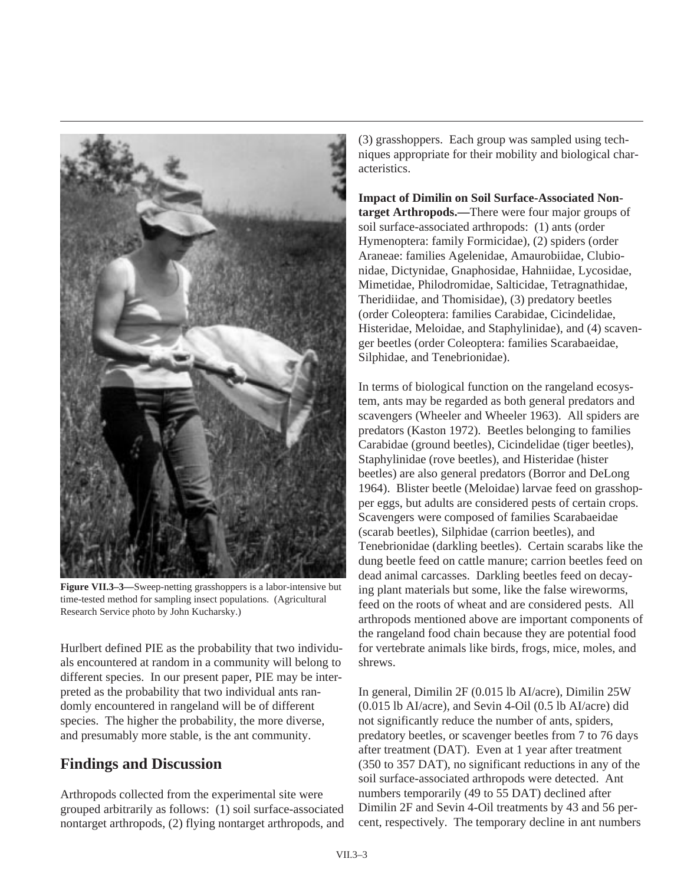

**Figure VII.3–3—**Sweep-netting grasshoppers is a labor-intensive but time-tested method for sampling insect populations. (Agricultural Research Service photo by John Kucharsky.)

Hurlbert defined PIE as the probability that two individuals encountered at random in a community will belong to different species. In our present paper, PIE may be interpreted as the probability that two individual ants randomly encountered in rangeland will be of different species. The higher the probability, the more diverse, and presumably more stable, is the ant community.

## **Findings and Discussion**

Arthropods collected from the experimental site were grouped arbitrarily as follows: (1) soil surface-associated nontarget arthropods, (2) flying nontarget arthropods, and (3) grasshoppers. Each group was sampled using techniques appropriate for their mobility and biological characteristics.

**Impact of Dimilin on Soil Surface-Associated Nontarget Arthropods.—**There were four major groups of soil surface-associated arthropods: (1) ants (order Hymenoptera: family Formicidae), (2) spiders (order Araneae: families Agelenidae, Amaurobiidae, Clubionidae, Dictynidae, Gnaphosidae, Hahniidae, Lycosidae, Mimetidae, Philodromidae, Salticidae, Tetragnathidae, Theridiidae, and Thomisidae), (3) predatory beetles (order Coleoptera: families Carabidae, Cicindelidae, Histeridae, Meloidae, and Staphylinidae), and (4) scavenger beetles (order Coleoptera: families Scarabaeidae, Silphidae, and Tenebrionidae).

In terms of biological function on the rangeland ecosystem, ants may be regarded as both general predators and scavengers (Wheeler and Wheeler 1963). All spiders are predators (Kaston 1972). Beetles belonging to families Carabidae (ground beetles), Cicindelidae (tiger beetles), Staphylinidae (rove beetles), and Histeridae (hister beetles) are also general predators (Borror and DeLong 1964). Blister beetle (Meloidae) larvae feed on grasshopper eggs, but adults are considered pests of certain crops. Scavengers were composed of families Scarabaeidae (scarab beetles), Silphidae (carrion beetles), and Tenebrionidae (darkling beetles). Certain scarabs like the dung beetle feed on cattle manure; carrion beetles feed on dead animal carcasses. Darkling beetles feed on decaying plant materials but some, like the false wireworms, feed on the roots of wheat and are considered pests. All arthropods mentioned above are important components of the rangeland food chain because they are potential food for vertebrate animals like birds, frogs, mice, moles, and shrews.

In general, Dimilin 2F (0.015 lb AI/acre), Dimilin 25W (0.015 lb AI/acre), and Sevin 4-Oil (0.5 lb AI/acre) did not significantly reduce the number of ants, spiders, predatory beetles, or scavenger beetles from 7 to 76 days after treatment (DAT). Even at 1 year after treatment (350 to 357 DAT), no significant reductions in any of the soil surface-associated arthropods were detected. Ant numbers temporarily (49 to 55 DAT) declined after Dimilin 2F and Sevin 4-Oil treatments by 43 and 56 percent, respectively. The temporary decline in ant numbers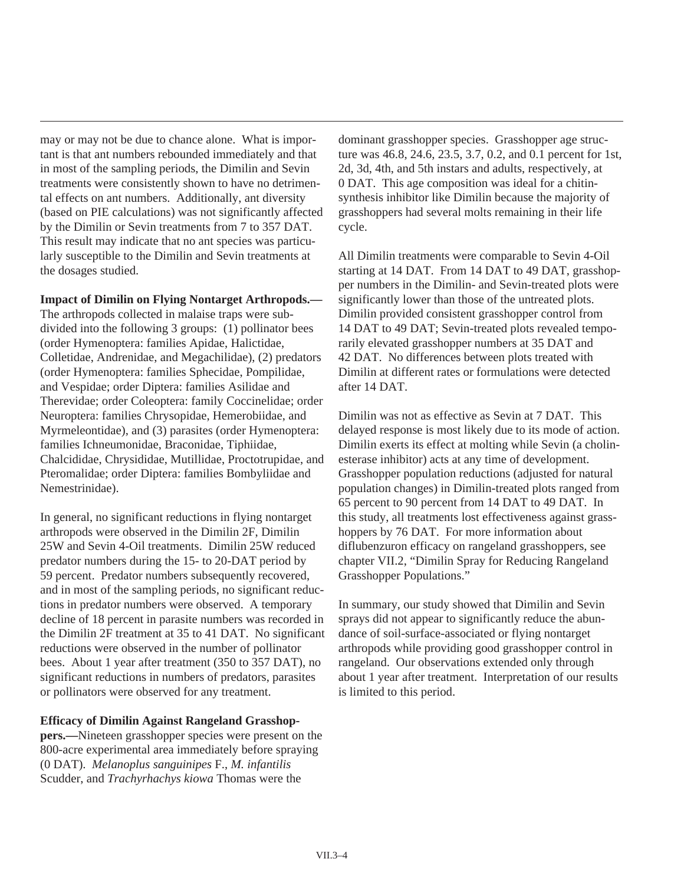may or may not be due to chance alone. What is important is that ant numbers rebounded immediately and that in most of the sampling periods, the Dimilin and Sevin treatments were consistently shown to have no detrimental effects on ant numbers. Additionally, ant diversity (based on PIE calculations) was not significantly affected by the Dimilin or Sevin treatments from 7 to 357 DAT. This result may indicate that no ant species was particularly susceptible to the Dimilin and Sevin treatments at the dosages studied.

#### **Impact of Dimilin on Flying Nontarget Arthropods.—**

The arthropods collected in malaise traps were subdivided into the following 3 groups: (1) pollinator bees (order Hymenoptera: families Apidae, Halictidae, Colletidae, Andrenidae, and Megachilidae), (2) predators (order Hymenoptera: families Sphecidae, Pompilidae, and Vespidae; order Diptera: families Asilidae and Therevidae; order Coleoptera: family Coccinelidae; order Neuroptera: families Chrysopidae, Hemerobiidae, and Myrmeleontidae), and (3) parasites (order Hymenoptera: families Ichneumonidae, Braconidae, Tiphiidae, Chalcididae, Chrysididae, Mutillidae, Proctotrupidae, and Pteromalidae; order Diptera: families Bombyliidae and Nemestrinidae).

In general, no significant reductions in flying nontarget arthropods were observed in the Dimilin 2F, Dimilin 25W and Sevin 4-Oil treatments. Dimilin 25W reduced predator numbers during the 15- to 20-DAT period by 59 percent. Predator numbers subsequently recovered, and in most of the sampling periods, no significant reductions in predator numbers were observed. A temporary decline of 18 percent in parasite numbers was recorded in the Dimilin 2F treatment at 35 to 41 DAT. No significant reductions were observed in the number of pollinator bees. About 1 year after treatment (350 to 357 DAT), no significant reductions in numbers of predators, parasites or pollinators were observed for any treatment.

#### **Efficacy of Dimilin Against Rangeland Grasshop-**

**pers.—**Nineteen grasshopper species were present on the 800-acre experimental area immediately before spraying (0 DAT). *Melanoplus sanguinipes* F., *M. infantilis* Scudder, and *Trachyrhachys kiowa* Thomas were the

dominant grasshopper species. Grasshopper age structure was 46.8, 24.6, 23.5, 3.7, 0.2, and 0.1 percent for 1st, 2d, 3d, 4th, and 5th instars and adults, respectively, at 0 DAT. This age composition was ideal for a chitinsynthesis inhibitor like Dimilin because the majority of grasshoppers had several molts remaining in their life cycle.

All Dimilin treatments were comparable to Sevin 4-Oil starting at 14 DAT. From 14 DAT to 49 DAT, grasshopper numbers in the Dimilin- and Sevin-treated plots were significantly lower than those of the untreated plots. Dimilin provided consistent grasshopper control from 14 DAT to 49 DAT; Sevin-treated plots revealed temporarily elevated grasshopper numbers at 35 DAT and 42 DAT. No differences between plots treated with Dimilin at different rates or formulations were detected after 14 DAT.

Dimilin was not as effective as Sevin at 7 DAT. This delayed response is most likely due to its mode of action. Dimilin exerts its effect at molting while Sevin (a cholinesterase inhibitor) acts at any time of development. Grasshopper population reductions (adjusted for natural population changes) in Dimilin-treated plots ranged from 65 percent to 90 percent from 14 DAT to 49 DAT. In this study, all treatments lost effectiveness against grasshoppers by 76 DAT. For more information about diflubenzuron efficacy on rangeland grasshoppers, see chapter VII.2, "Dimilin Spray for Reducing Rangeland Grasshopper Populations."

In summary, our study showed that Dimilin and Sevin sprays did not appear to significantly reduce the abundance of soil-surface-associated or flying nontarget arthropods while providing good grasshopper control in rangeland. Our observations extended only through about 1 year after treatment. Interpretation of our results is limited to this period.